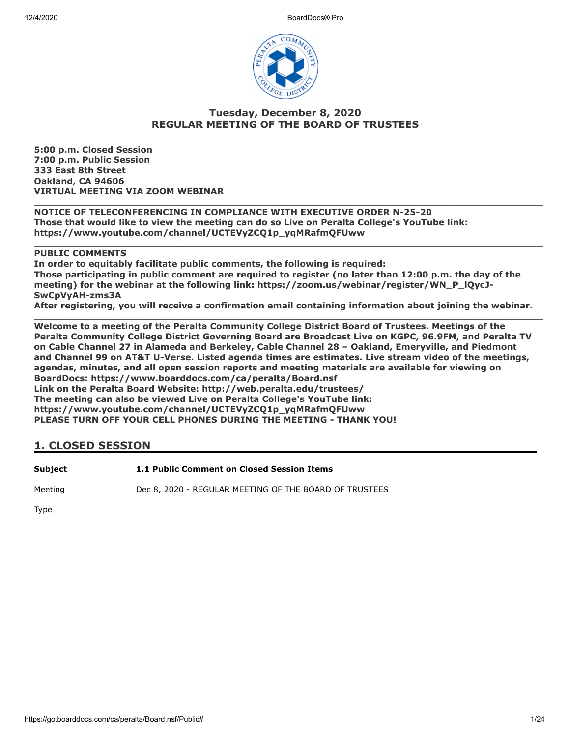12/4/2020 BoardDocs® Pro



# **Tuesday, December 8, 2020 REGULAR MEETING OF THE BOARD OF TRUSTEES**

**5:00 p.m. Closed Session 7:00 p.m. Public Session 333 East 8th Street Oakland, CA 94606 VIRTUAL MEETING VIA ZOOM WEBINAR**

**\_\_\_\_\_\_\_\_\_\_\_\_\_\_\_\_\_\_\_\_\_\_\_\_\_\_\_\_\_\_\_\_\_\_\_\_\_\_\_\_\_\_\_\_\_\_\_\_\_\_\_\_\_\_\_\_\_\_\_\_\_\_\_\_\_\_\_\_\_\_\_\_\_\_\_\_\_\_\_\_\_\_\_\_\_ NOTICE OF TELECONFERENCING IN COMPLIANCE WITH EXECUTIVE ORDER N-25-20 Those that would like to view the meeting can do so Live on Peralta College's YouTube link: https://www.youtube.com/channel/UCTEVyZCQ1p\_yqMRafmQFUww**

# **PUBLIC COMMENTS**

**In order to equitably facilitate public comments, the following is required: Those participating in public comment are required to register (no later than 12:00 p.m. the day of the meeting) for the webinar at the following link: https://zoom.us/webinar/register/WN\_P\_lQycJ-SwCpVyAH-zms3A** 

**\_\_\_\_\_\_\_\_\_\_\_\_\_\_\_\_\_\_\_\_\_\_\_\_\_\_\_\_\_\_\_\_\_\_\_\_\_\_\_\_\_\_\_\_\_\_\_\_\_\_\_\_\_\_\_\_\_\_\_\_\_\_\_\_\_\_\_\_\_\_\_\_\_\_\_\_\_\_\_\_\_\_\_\_\_**

**After registering, you will receive a confirmation email containing information about joining the webinar. \_\_\_\_\_\_\_\_\_\_\_\_\_\_\_\_\_\_\_\_\_\_\_\_\_\_\_\_\_\_\_\_\_\_\_\_\_\_\_\_\_\_\_\_\_\_\_\_\_\_\_\_\_\_\_\_\_\_\_\_\_\_\_\_\_\_\_\_\_\_\_\_\_\_\_\_\_\_\_\_\_\_\_\_\_**

**Welcome to a meeting of the Peralta Community College District Board of Trustees. Meetings of the Peralta Community College District Governing Board are Broadcast Live on KGPC, 96.9FM, and Peralta TV on Cable Channel 27 in Alameda and Berkeley, Cable Channel 28 – Oakland, Emeryville, and Piedmont and Channel 99 on AT&T U-Verse. Listed agenda times are estimates. Live stream video of the meetings, agendas, minutes, and all open session reports and meeting materials are available for viewing on BoardDocs: https://www.boarddocs.com/ca/peralta/Board.nsf Link on the Peralta Board Website: http://web.peralta.edu/trustees/ The meeting can also be viewed Live on Peralta College's YouTube link: https://www.youtube.com/channel/UCTEVyZCQ1p\_yqMRafmQFUww PLEASE TURN OFF YOUR CELL PHONES DURING THE MEETING - THANK YOU!**

# **1. CLOSED SESSION**

**Subject 1.1 Public Comment on Closed Session Items**

Meeting **Dec 8, 2020 - REGULAR MEETING OF THE BOARD OF TRUSTEES** 

Type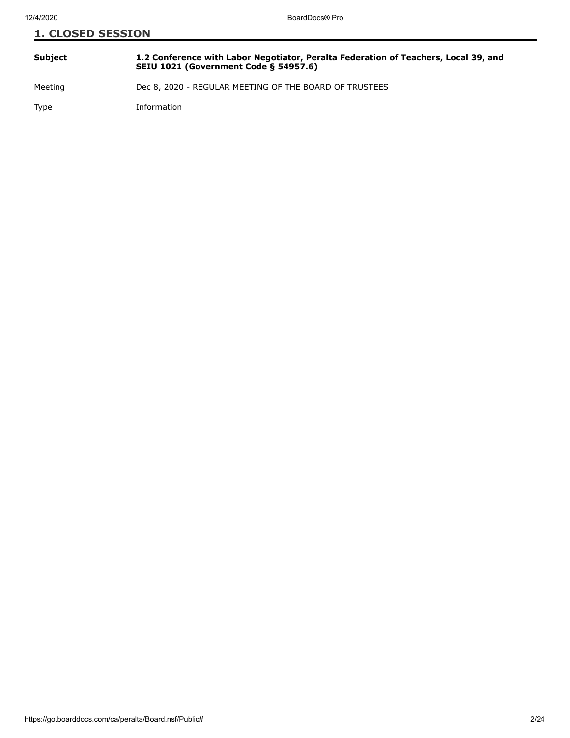| Subject | 1.2 Conference with Labor Negotiator, Peralta Federation of Teachers, Local 39, and<br><b>SEIU 1021 (Government Code § 54957.6)</b> |
|---------|-------------------------------------------------------------------------------------------------------------------------------------|
| Meeting | Dec 8, 2020 - REGULAR MEETING OF THE BOARD OF TRUSTEES                                                                              |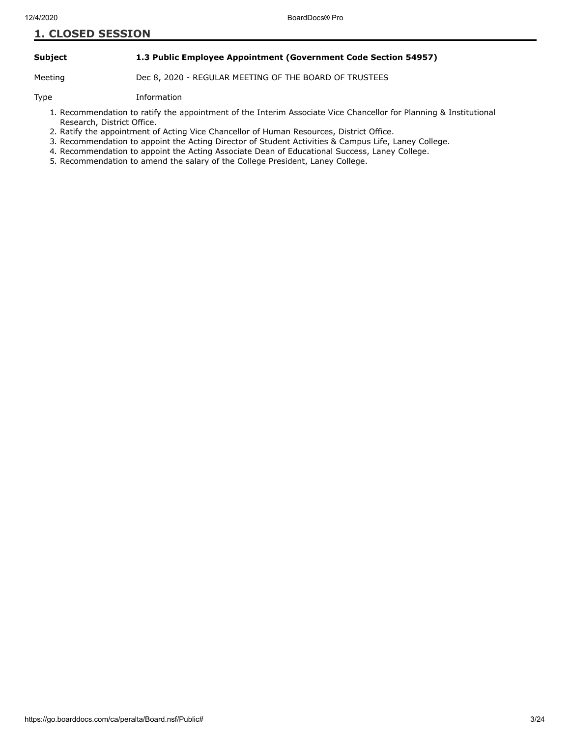### **Subject 1.3 Public Employee Appointment (Government Code Section 54957)**

Meeting Dec 8, 2020 - REGULAR MEETING OF THE BOARD OF TRUSTEES

- 1. Recommendation to ratify the appointment of the Interim Associate Vice Chancellor for Planning & Institutional Research, District Office.
- 2. Ratify the appointment of Acting Vice Chancellor of Human Resources, District Office.
- 3. Recommendation to appoint the Acting Director of Student Activities & Campus Life, Laney College.
- 4. Recommendation to appoint the Acting Associate Dean of Educational Success, Laney College.
- 5. Recommendation to amend the salary of the College President, Laney College.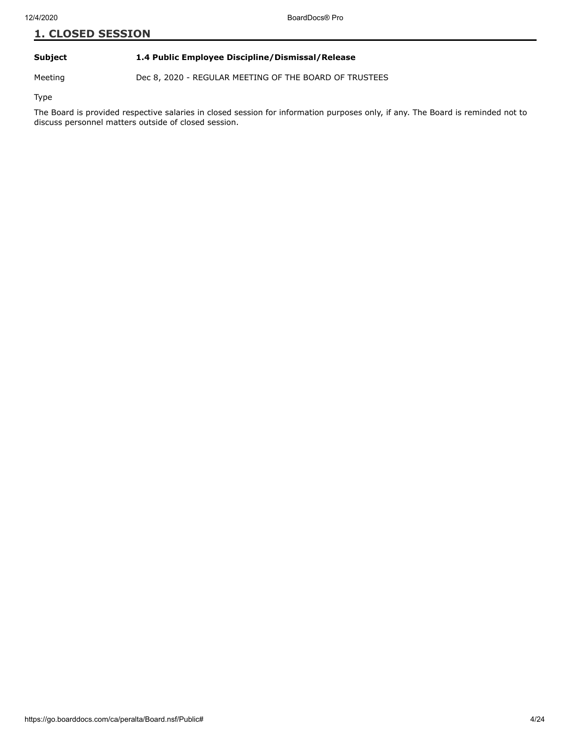### **Subject 1.4 Public Employee Discipline/Dismissal/Release**

Meeting Dec 8, 2020 - REGULAR MEETING OF THE BOARD OF TRUSTEES

Type

The Board is provided respective salaries in closed session for information purposes only, if any. The Board is reminded not to discuss personnel matters outside of closed session.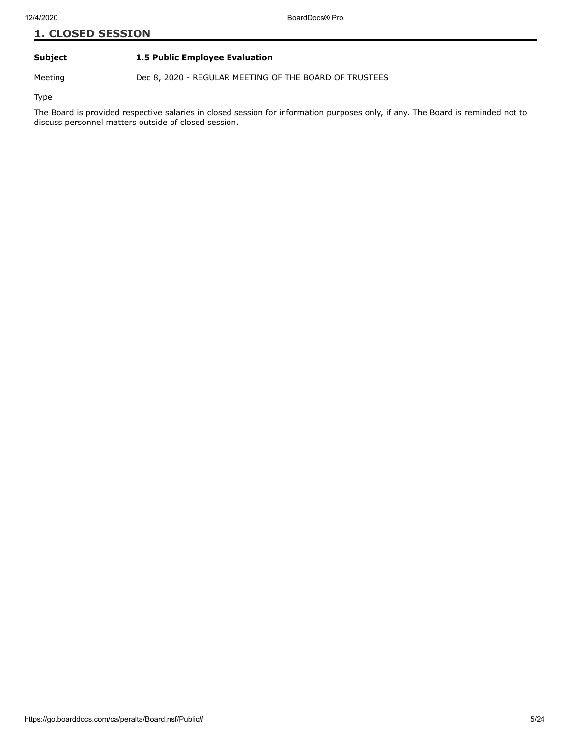# **Subject 1.5 Public Employee Evaluation**

Meeting Dec 8, 2020 - REGULAR MEETING OF THE BOARD OF TRUSTEES

Type

The Board is provided respective salaries in closed session for information purposes only, if any. The Board is reminded not to discuss personnel matters outside of closed session.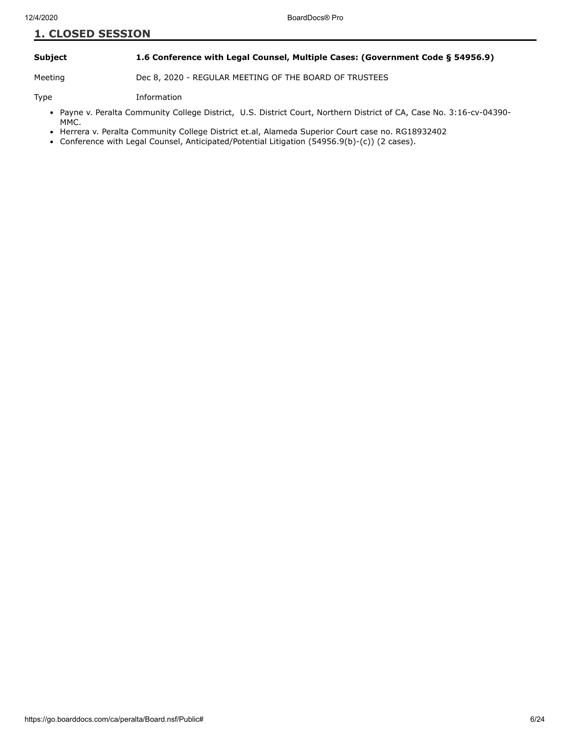### **Subject 1.6 Conference with Legal Counsel, Multiple Cases: (Government Code § 54956.9)**

Meeting Dec 8, 2020 - REGULAR MEETING OF THE BOARD OF TRUSTEES

- Payne v. Peralta Community College District, U.S. District Court, Northern District of CA, Case No. 3:16-cv-04390-MMC.
- Herrera v. Peralta Community College District et.al, Alameda Superior Court case no. RG18932402
- Conference with Legal Counsel, Anticipated/Potential Litigation (54956.9(b)-(c)) (2 cases).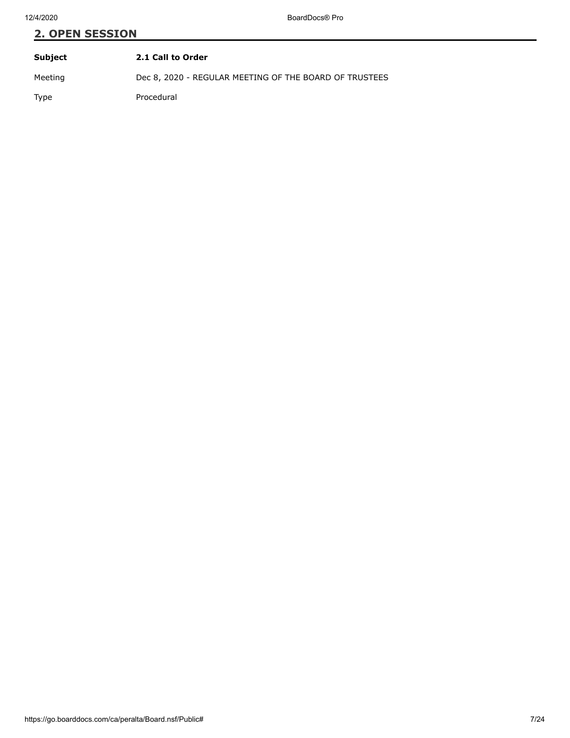# **2. OPEN SESSION Subject 2.1 Call to Order**

Meeting Dec 8, 2020 - REGULAR MEETING OF THE BOARD OF TRUSTEES

Type Procedural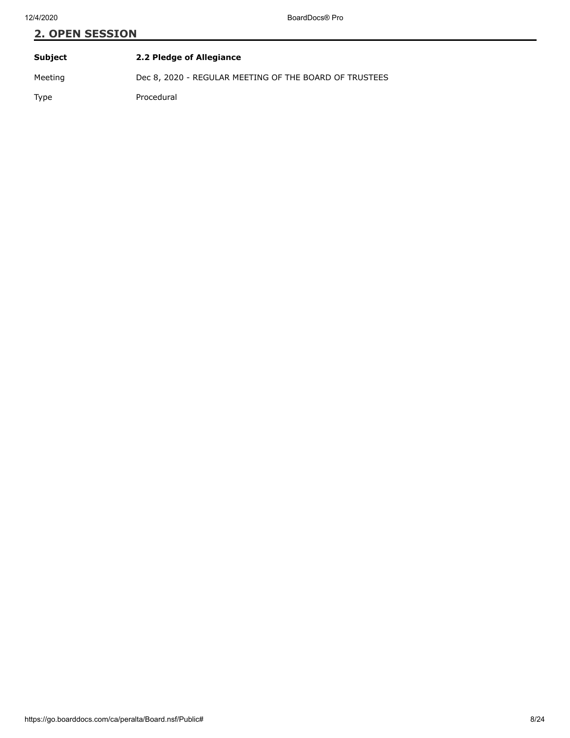| Subject | 2.2 Pledge of Allegiance                               |
|---------|--------------------------------------------------------|
| Meeting | Dec 8, 2020 - REGULAR MEETING OF THE BOARD OF TRUSTEES |
| Type    | Procedural                                             |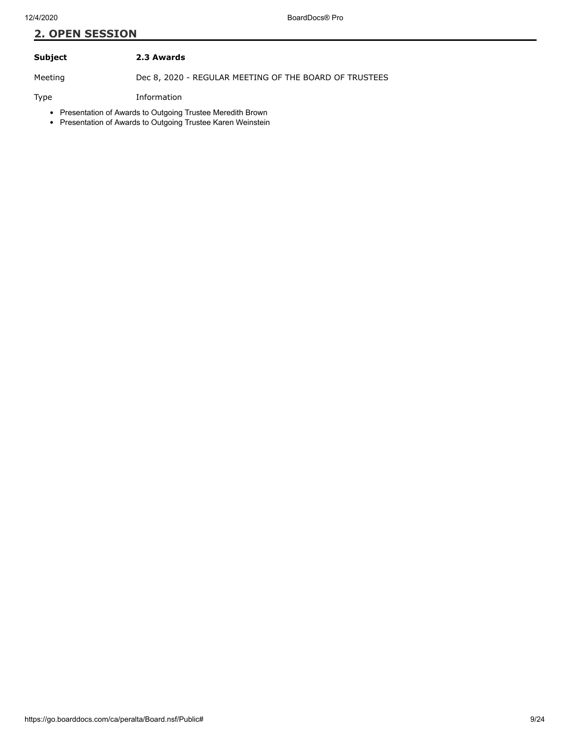# **Subject 2.3 Awards**

Meeting Dec 8, 2020 - REGULAR MEETING OF THE BOARD OF TRUSTEES

- Presentation of Awards to Outgoing Trustee Meredith Brown
- Presentation of Awards to Outgoing Trustee Karen Weinstein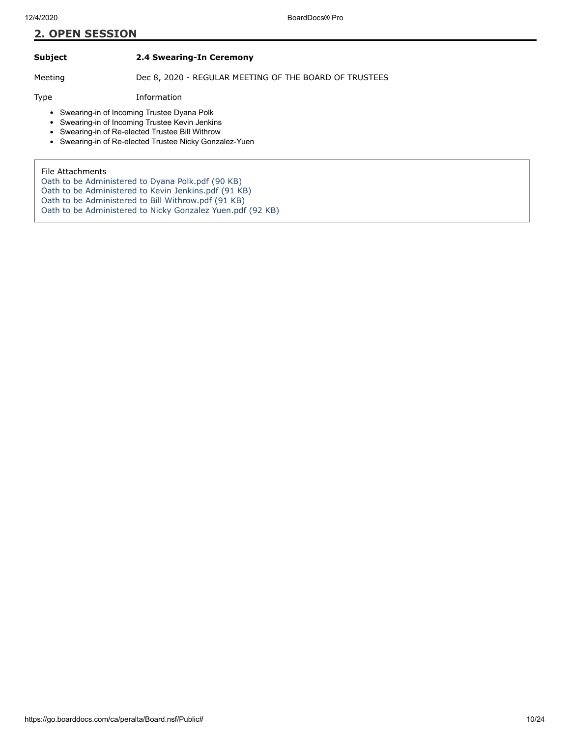**Subject 2.4 Swearing-In Ceremony**

Meeting Dec 8, 2020 - REGULAR MEETING OF THE BOARD OF TRUSTEES

Type Information

• Swearing-in of Incoming Trustee Dyana Polk

- Swearing-in of Incoming Trustee Kevin Jenkins  $\bullet$
- Swearing-in of Re-elected Trustee Bill Withrow  $\bullet$
- Swearing-in of Re-elected Trustee Nicky Gonzalez-Yuen

File Attachments

- [Oath to be Administered to Dyana Polk.pdf \(90 KB\)](https://go.boarddocs.com/ca/peralta/Board.nsf/files/BVV8TS1FE4AB/$file/Oath%20to%20be%20Administered%20to%20Dyana%20Polk.pdf)
- [Oath to be Administered to Kevin Jenkins.pdf \(91 KB\)](https://go.boarddocs.com/ca/peralta/Board.nsf/files/BVV8TU1FE6A4/$file/Oath%20to%20be%20Administered%20to%20Kevin%20Jenkins.pdf)
- [Oath to be Administered to Bill Withrow.pdf \(91 KB\)](https://go.boarddocs.com/ca/peralta/Board.nsf/files/BVV8TW1FE9CE/$file/Oath%20to%20be%20Administered%20to%20Bill%20Withrow.pdf)

[Oath to be Administered to Nicky Gonzalez Yuen.pdf \(92 KB\)](https://go.boarddocs.com/ca/peralta/Board.nsf/files/BVV8TY1FEBF3/$file/Oath%20to%20be%20Administered%20to%20Nicky%20Gonzalez%20Yuen.pdf)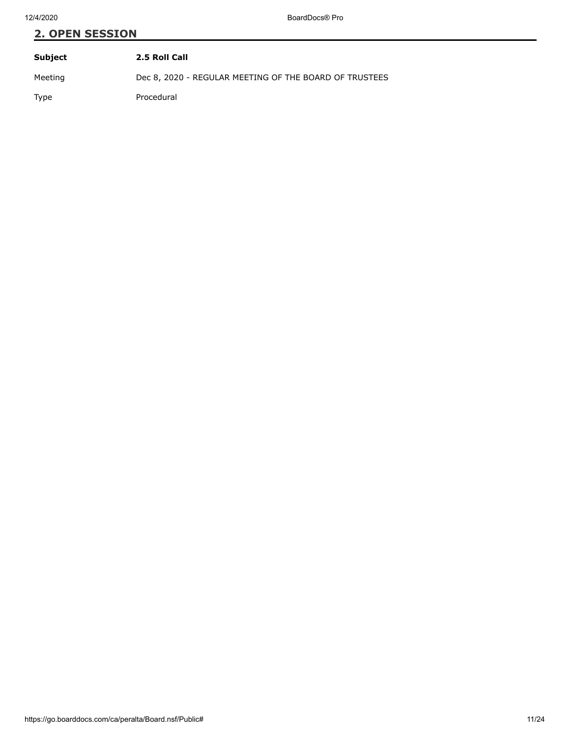| Subject | 2.5 Roll Call                                          |
|---------|--------------------------------------------------------|
| Meeting | Dec 8, 2020 - REGULAR MEETING OF THE BOARD OF TRUSTEES |
| Type    | Procedural                                             |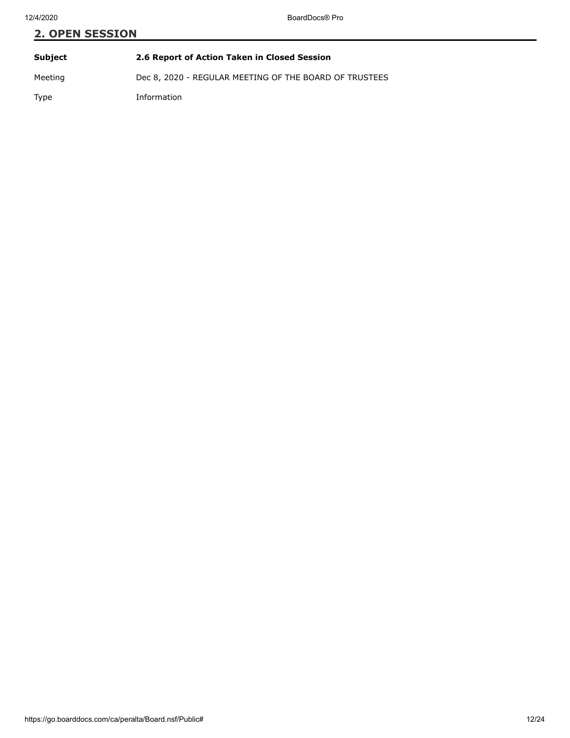# **2. OPEN SESSION Subject 2.6 Report of Action Taken in Closed Session** Meeting Dec 8, 2020 - REGULAR MEETING OF THE BOARD OF TRUSTEES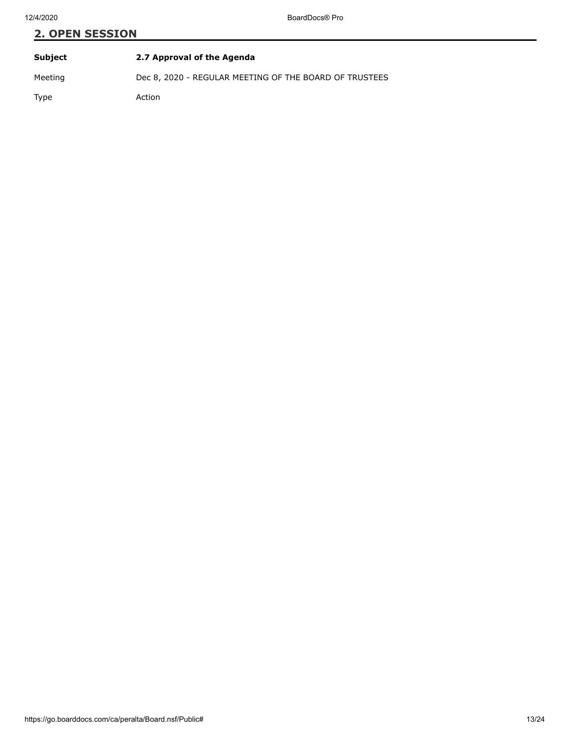| Subject | 2.7 Approval of the Agenda                             |
|---------|--------------------------------------------------------|
| Meeting | Dec 8, 2020 - REGULAR MEETING OF THE BOARD OF TRUSTEES |
| Type    | Action                                                 |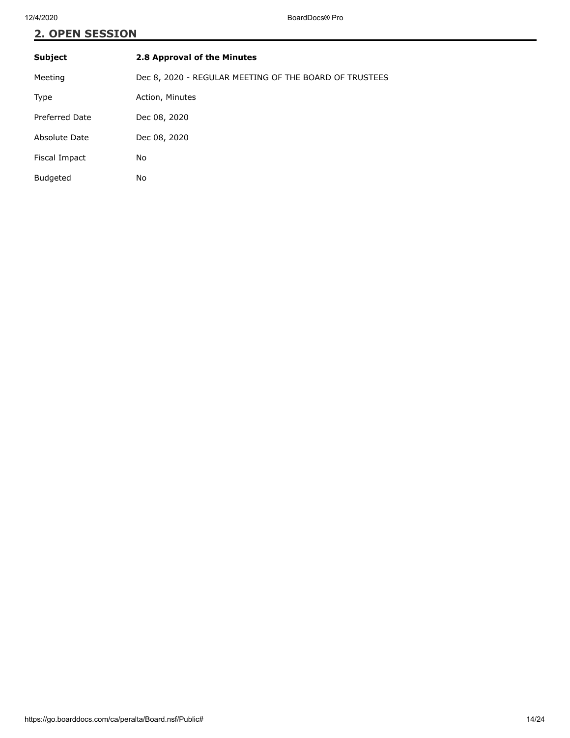| Subject         | 2.8 Approval of the Minutes                            |
|-----------------|--------------------------------------------------------|
| Meeting         | Dec 8, 2020 - REGULAR MEETING OF THE BOARD OF TRUSTEES |
| Type            | Action, Minutes                                        |
| Preferred Date  | Dec 08, 2020                                           |
| Absolute Date   | Dec 08, 2020                                           |
| Fiscal Impact   | No                                                     |
| <b>Budgeted</b> | No                                                     |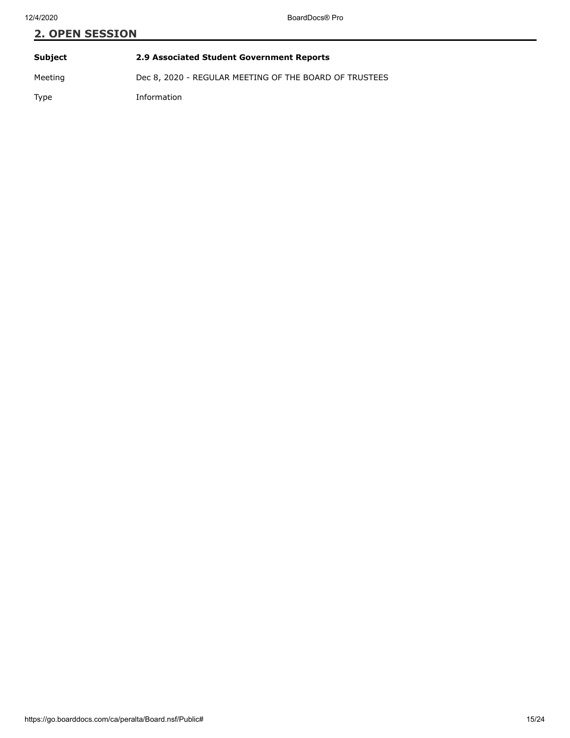# **2. OPEN SESSION Subject 2.9 Associated Student Government Reports** Meeting Dec 8, 2020 - REGULAR MEETING OF THE BOARD OF TRUSTEES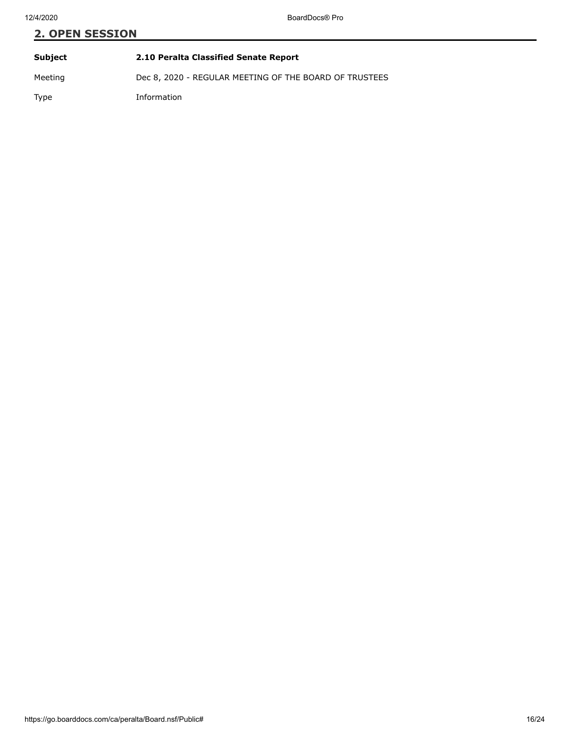# **2. OPEN SESSION Subject 2.10 Peralta Classified Senate Report**

Meeting Dec 8, 2020 - REGULAR MEETING OF THE BOARD OF TRUSTEES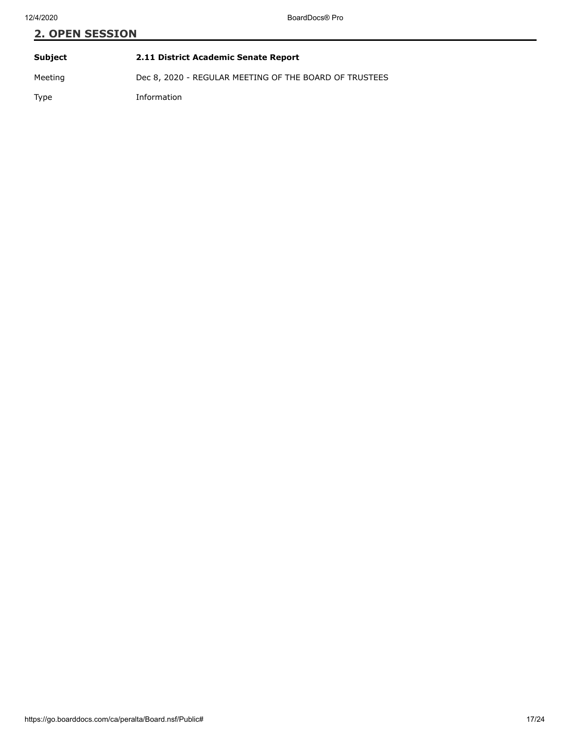# **2. OPEN SESSION Subject 2.11 District Academic Senate Report**

Meeting Dec 8, 2020 - REGULAR MEETING OF THE BOARD OF TRUSTEES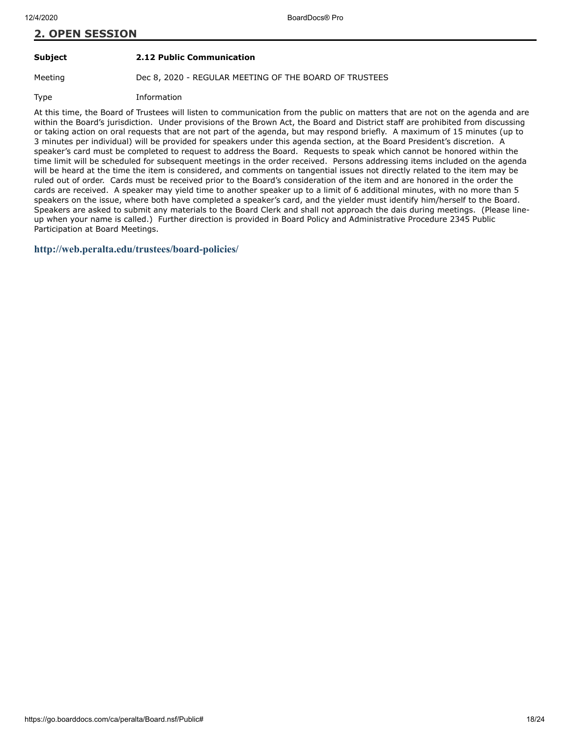# **Subject 2.12 Public Communication**

Meeting Dec 8, 2020 - REGULAR MEETING OF THE BOARD OF TRUSTEES

Type Information

At this time, the Board of Trustees will listen to communication from the public on matters that are not on the agenda and are within the Board's jurisdiction. Under provisions of the Brown Act, the Board and District staff are prohibited from discussing or taking action on oral requests that are not part of the agenda, but may respond briefly. A maximum of 15 minutes (up to 3 minutes per individual) will be provided for speakers under this agenda section, at the Board President's discretion. A speaker's card must be completed to request to address the Board. Requests to speak which cannot be honored within the time limit will be scheduled for subsequent meetings in the order received. Persons addressing items included on the agenda will be heard at the time the item is considered, and comments on tangential issues not directly related to the item may be ruled out of order. Cards must be received prior to the Board's consideration of the item and are honored in the order the cards are received. A speaker may yield time to another speaker up to a limit of 6 additional minutes, with no more than 5 speakers on the issue, where both have completed a speaker's card, and the yielder must identify him/herself to the Board. Speakers are asked to submit any materials to the Board Clerk and shall not approach the dais during meetings. (Please lineup when your name is called.) Further direction is provided in Board Policy and Administrative Procedure 2345 Public Participation at Board Meetings.

# **<http://web.peralta.edu/trustees/board-policies/>**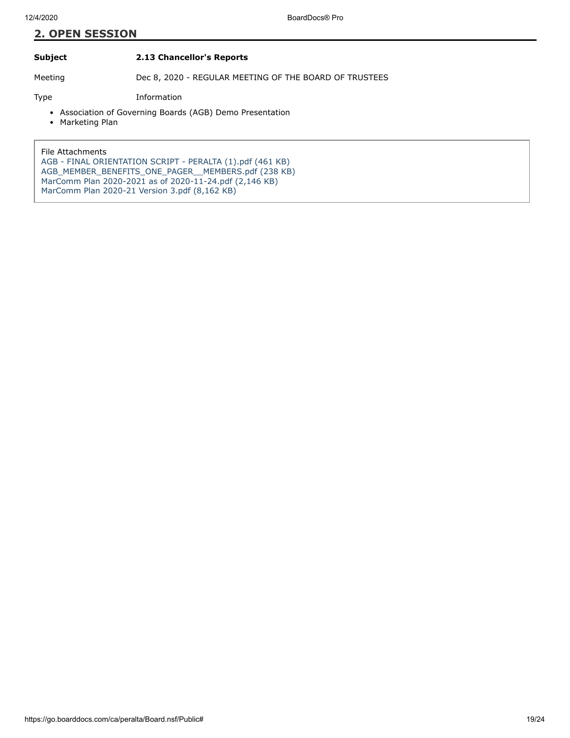# **Subject 2.13 Chancellor's Reports**

Meeting Dec 8, 2020 - REGULAR MEETING OF THE BOARD OF TRUSTEES

Type Information

- Association of Governing Boards (AGB) Demo Presentation
- Marketing Plan

File Attachments [AGB - FINAL ORIENTATION SCRIPT - PERALTA \(1\).pdf \(461 KB\)](https://go.boarddocs.com/ca/peralta/Board.nsf/files/BVUUYH7E5688/$file/AGB%20-%20FINAL%20ORIENTATION%20SCRIPT%20-%20PERALTA%20(1).pdf) [AGB\\_MEMBER\\_BENEFITS\\_ONE\\_PAGER\\_\\_MEMBERS.pdf \(238 KB\)](https://go.boarddocs.com/ca/peralta/Board.nsf/files/BVUUYK7E56A7/$file/AGB_MEMBER_BENEFITS_ONE_PAGER__MEMBERS.pdf) [MarComm Plan 2020-2021 as of 2020-11-24.pdf \(2,146 KB\)](https://go.boarddocs.com/ca/peralta/Board.nsf/files/BVPBP62D4767/$file/MarComm%20Plan%202020-2021%20as%20of%202020-11-24.pdf) [MarComm Plan 2020-21 Version 3.pdf \(8,162 KB\)](https://go.boarddocs.com/ca/peralta/Board.nsf/files/BVPUMX7CC98B/$file/MarComm%20Plan%202020-21%20Version%203.pdf)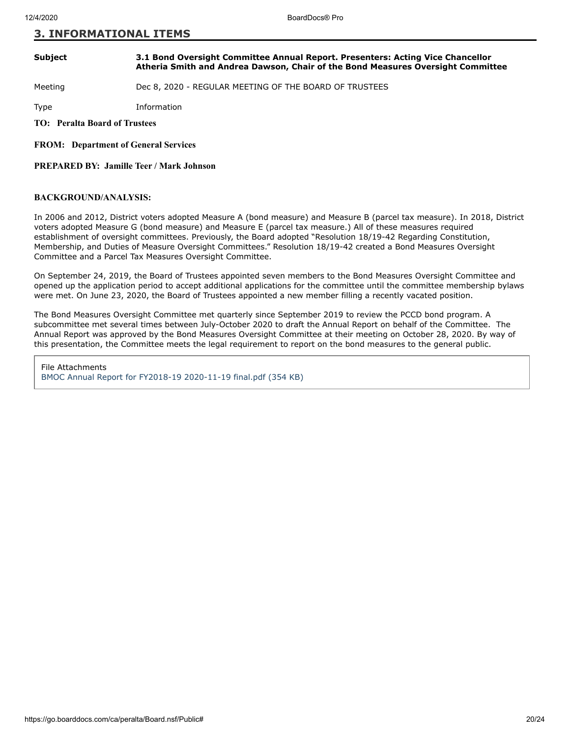# **3. INFORMATIONAL ITEMS**

#### **Subject 3.1 Bond Oversight Committee Annual Report. Presenters: Acting Vice Chancellor Atheria Smith and Andrea Dawson, Chair of the Bond Measures Oversight Committee**

Meeting Dec 8, 2020 - REGULAR MEETING OF THE BOARD OF TRUSTEES

Type Information

**TO: Peralta Board of Trustees**

**FROM: Department of General Services**

**PREPARED BY: Jamille Teer / Mark Johnson**

### **BACKGROUND/ANALYSIS:**

In 2006 and 2012, District voters adopted Measure A (bond measure) and Measure B (parcel tax measure). In 2018, District voters adopted Measure G (bond measure) and Measure E (parcel tax measure.) All of these measures required establishment of oversight committees. Previously, the Board adopted "Resolution 18/19-42 Regarding Constitution, Membership, and Duties of Measure Oversight Committees." Resolution 18/19-42 created a Bond Measures Oversight Committee and a Parcel Tax Measures Oversight Committee.

On September 24, 2019, the Board of Trustees appointed seven members to the Bond Measures Oversight Committee and opened up the application period to accept additional applications for the committee until the committee membership bylaws were met. On June 23, 2020, the Board of Trustees appointed a new member filling a recently vacated position.

The Bond Measures Oversight Committee met quarterly since September 2019 to review the PCCD bond program. A subcommittee met several times between July-October 2020 to draft the Annual Report on behalf of the Committee. The Annual Report was approved by the Bond Measures Oversight Committee at their meeting on October 28, 2020. By way of this presentation, the Committee meets the legal requirement to report on the bond measures to the general public.

File Attachments [BMOC Annual Report for FY2018-19 2020-11-19 final.pdf \(354 KB\)](https://go.boarddocs.com/ca/peralta/Board.nsf/files/BVVSP7731904/$file/BMOC%20Annual%20Report%20for%20FY2018-19%202020-11-19%20final.pdf)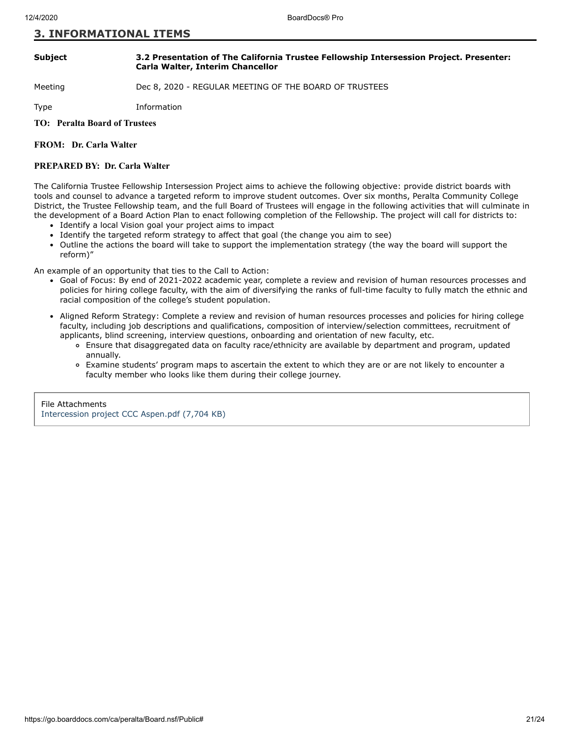# **3. INFORMATIONAL ITEMS**

#### **Subject 3.2 Presentation of The California Trustee Fellowship Intersession Project. Presenter: Carla Walter, Interim Chancellor**

# Meeting Dec 8, 2020 - REGULAR MEETING OF THE BOARD OF TRUSTEES

Type Information

# **TO: Peralta Board of Trustees**

### **FROM: Dr. Carla Walter**

#### **PREPARED BY: Dr. Carla Walter**

The California Trustee Fellowship Intersession Project aims to achieve the following objective: provide district boards with tools and counsel to advance a targeted reform to improve student outcomes. Over six months, Peralta Community College District, the Trustee Fellowship team, and the full Board of Trustees will engage in the following activities that will culminate in the development of a Board Action Plan to enact following completion of the Fellowship. The project will call for districts to:

- Identify a local Vision goal your project aims to impact
- Identify the targeted reform strategy to affect that goal (the change you aim to see)
- Outline the actions the board will take to support the implementation strategy (the way the board will support the reform)"

An example of an opportunity that ties to the Call to Action:

- Goal of Focus: By end of 2021-2022 academic year, complete a review and revision of human resources processes and policies for hiring college faculty, with the aim of diversifying the ranks of full-time faculty to fully match the ethnic and racial composition of the college's student population.
- Aligned Reform Strategy: Complete a review and revision of human resources processes and policies for hiring college faculty, including job descriptions and qualifications, composition of interview/selection committees, recruitment of applicants, blind screening, interview questions, onboarding and orientation of new faculty, etc.
	- Ensure that disaggregated data on faculty race/ethnicity are available by department and program, updated annually.
	- Examine students' program maps to ascertain the extent to which they are or are not likely to encounter a faculty member who looks like them during their college journey.

File Attachments [Intercession project CCC Aspen.pdf \(7,704 KB\)](https://go.boarddocs.com/ca/peralta/Board.nsf/files/BVENEX5F703D/$file/Intercession%20project%20CCC%20Aspen.pdf)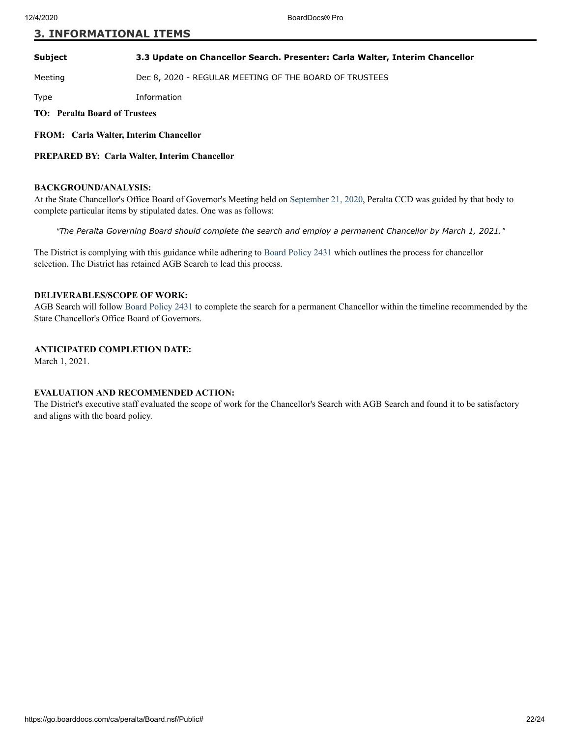# **3. INFORMATIONAL ITEMS**

**Subject 3.3 Update on Chancellor Search. Presenter: Carla Walter, Interim Chancellor**

Meeting **Dec 8, 2020 - REGULAR MEETING OF THE BOARD OF TRUSTEES** 

Type Information

**TO: Peralta Board of Trustees**

**FROM: Carla Walter, Interim Chancellor**

**PREPARED BY: Carla Walter, Interim Chancellor**

### **BACKGROUND/ANALYSIS:**

At the State Chancellor's Office Board of Governor's Meeting held on [September 21, 2020,](http://go.boarddocs.com/ca/cccchan/Board.nsf/goto?open&id=BSWRM56E5DE7) Peralta CCD was guided by that body to complete particular items by stipulated dates. One was as follows:

*"The Peralta Governing Board should complete the search and employ a permanent Chancellor by March 1, 2021."* 

The District is complying with this guidance while adhering to [Board Policy 2431](https://web.peralta.edu/trustees/files/2013/12/BP-2431-Chancellor-Selection1.pdf) which outlines the process for chancellor selection. The District has retained AGB Search to lead this process.

#### **DELIVERABLES/SCOPE OF WORK:**

AGB Search will follo[w Board Policy 2431](https://web.peralta.edu/trustees/files/2013/12/BP-2431-Chancellor-Selection1.pdf) to complete the search for a permanent Chancellor within the timeline recommended by the State Chancellor's Office Board of Governors.

# **ANTICIPATED COMPLETION DATE:**

March 1, 2021.

# **EVALUATION AND RECOMMENDED ACTION:**

The District's executive staff evaluated the scope of work for the Chancellor's Search with AGB Search and found it to be satisfactory and aligns with the board policy.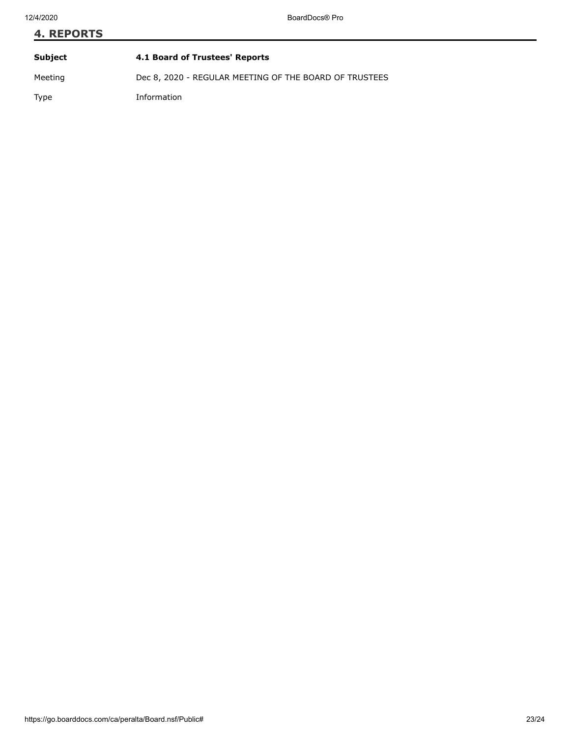# **4. REPORTS Subject 4.1 Board of Trustees' Reports** Meeting Dec 8, 2020 - REGULAR MEETING OF THE BOARD OF TRUSTEES